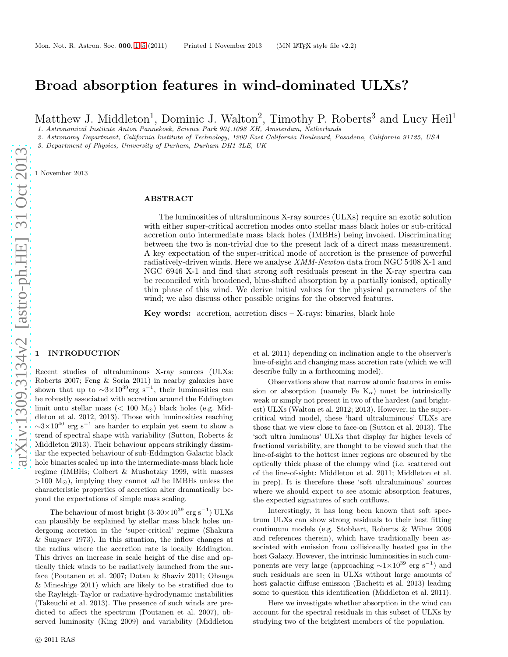# Broad absorption features in wind-dominated ULXs?

Matthew J. Middleton<sup>1</sup>, Dominic J. Walton<sup>2</sup>, Timothy P. Roberts<sup>3</sup> and Lucy Heil<sup>1</sup>

*1. Astronomical Institute Anton Pannekoek, Science Park 904,1098 XH, Amsterdam, Netherlands*

*2. Astronomy Department, California Institute of Technology, 1200 East California Boulevard, Pasadena, California 91125, USA*

*3. Department of Physics, University of Durham, Durham DH1 3LE, UK*

1 November 2013

# ABSTRACT

The luminosities of ultraluminous X-ray sources (ULXs) require an exotic solution with either super-critical accretion modes onto stellar mass black holes or sub-critical accretion onto intermediate mass black holes (IMBHs) being invoked. Discriminating between the two is non-trivial due to the present lack of a direct mass measurement. A key expectation of the super-critical mode of accretion is the presence of powerful radiatively-driven winds. Here we analyse XMM-Newton data from NGC 5408 X-1 and NGC 6946 X-1 and find that strong soft residuals present in the X-ray spectra can be reconciled with broadened, blue-shifted absorption by a partially ionised, optically thin phase of this wind. We derive initial values for the physical parameters of the wind; we also discuss other possible origins for the observed features.

Key words: accretion, accretion discs  $-$  X-rays: binaries, black hole

# <span id="page-0-0"></span>**INTRODUCTION**

Recent studies of ultraluminous X-ray sources (ULXs: Roberts 2007; Feng & Soria 2011) in nearby galaxies have shown that up to  $\sim$ 3×10<sup>39</sup>erg s<sup>-1</sup>, their luminosities can be robustly associated with accretion around the Eddington limit onto stellar mass (< 100  $M_{\odot}$ ) black holes (e.g. Middleton et al. 2012, 2013). Those with luminosities reaching  $\sim$ 3×10<sup>40</sup> erg s<sup>-1</sup> are harder to explain yet seem to show a trend of spectral shape with variability (Sutton, Roberts & Middleton 2013). Their behaviour appears strikingly dissimilar the expected behaviour of sub-Eddington Galactic black hole binaries scaled up into the intermediate-mass black hole regime (IMBHs; Colbert & Mushotzky 1999, with masses >100  $M_{\odot}$ ), implying they cannot *all* be IMBHs unless the characteristic properties of accretion alter dramatically beyond the expectations of simple mass scaling.

The behaviour of most bright  $(3-30\times10^{39} \text{ erg s}^{-1})$  ULXs can plausibly be explained by stellar mass black holes undergoing accretion in the 'super-critical' regime (Shakura & Sunyaev 1973). In this situation, the inflow changes at the radius where the accretion rate is locally Eddington. This drives an increase in scale height of the disc and optically thick winds to be radiatively launched from the surface (Poutanen et al. 2007; Dotan & Shaviv 2011; Ohsuga & Mineshige 2011) which are likely to be stratified due to the Rayleigh-Taylor or radiative-hydrodynamic instabilities (Takeuchi et al. 2013). The presence of such winds are predicted to affect the spectrum (Poutanen et al. 2007), observed luminosity (King 2009) and variability (Middleton

et al. 2011) depending on inclination angle to the observer's line-of-sight and changing mass accretion rate (which we will describe fully in a forthcoming model).

Observations show that narrow atomic features in emission or absorption (namely Fe  $K_{\alpha}$ ) must be intrinsically weak or simply not present in two of the hardest (and brightest) ULXs (Walton et al. 2012; 2013). However, in the supercritical wind model, these 'hard ultraluminous' ULXs are those that we view close to face-on (Sutton et al. 2013). The 'soft ultra luminous' ULXs that display far higher levels of fractional variability, are thought to be viewed such that the line-of-sight to the hottest inner regions are obscured by the optically thick phase of the clumpy wind (i.e. scattered out of the line-of-sight: Middleton et al. 2011; Middleton et al. in prep). It is therefore these 'soft ultraluminous' sources where we should expect to see atomic absorption features, the expected signatures of such outflows.

Interestingly, it has long been known that soft spectrum ULXs can show strong residuals to their best fitting continuum models (e.g. Stobbart, Roberts & Wilms 2006 and references therein), which have traditionally been associated with emission from collisionally heated gas in the host Galaxy. However, the intrinsic luminosities in such components are very large (approaching  $\sim 1 \times 10^{39}$  erg s<sup>-1</sup>) and such residuals are seen in ULXs without large amounts of host galactic diffuse emission (Bachetti et al. 2013) leading some to question this identification (Middleton et al. 2011).

Here we investigate whether absorption in the wind can account for the spectral residuals in this subset of ULXs by studying two of the brightest members of the population.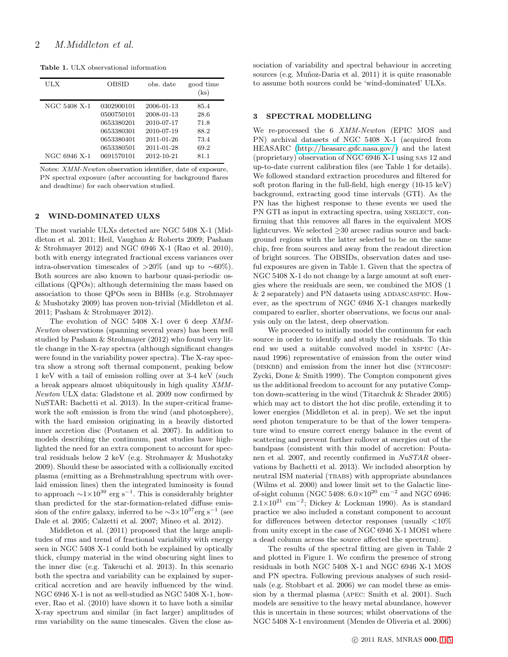Table 1. ULX observational information

| ULX                          | OBSID                                                                                          | obs. date                                                                                      | good time<br>(ks)                                    |
|------------------------------|------------------------------------------------------------------------------------------------|------------------------------------------------------------------------------------------------|------------------------------------------------------|
| NGC 5408 X-1<br>NGC 6946 X-1 | 0302900101<br>0500750101<br>0653380201<br>0653380301<br>0653380401<br>0653380501<br>0691570101 | 2006-01-13<br>2008-01-13<br>2010-07-17<br>2010-07-19<br>2011-01-26<br>2011-01-28<br>2012-10-21 | 85.4<br>28.6<br>71.8<br>88.2<br>73.4<br>69.2<br>81.1 |

Notes: *XMM-Newton* observation identifier, date of exposure, PN spectral exposure (after accounting for background flares and deadtime) for each observation studied.

#### 2 WIND-DOMINATED ULXS

The most variable ULXs detected are NGC 5408 X-1 (Middleton et al. 2011; Heil, Vaughan & Roberts 2009; Pasham & Strohmayer 2012) and NGC 6946 X-1 (Rao et al. 2010), both with energy integrated fractional excess variances over intra-observation timescales of >20% (and up to  $~0.60\%$ ). Both sources are also known to harbour quasi-periodic oscillations (QPOs); although determining the mass based on association to those QPOs seen in BHBs (e.g. Strohmayer & Mushotzky 2009) has proven non-trivial (Middleton et al. 2011; Pasham & Strohmayer 2012).

The evolution of NGC 5408 X-1 over 6 deep XMM-Newton observations (spanning several years) has been well studied by Pasham & Strohmayer (2012) who found very little change in the X-ray spectra (although significant changes were found in the variability power spectra). The X-ray spectra show a strong soft thermal component, peaking below 1 keV with a tail of emission rolling over at 3-4 keV (such a break appears almost ubiquitously in high quality XMM-Newton ULX data: Gladstone et al. 2009 now confirmed by NuSTAR: Bachetti et al. 2013). In the super-critical framework the soft emission is from the wind (and photosphere), with the hard emission originating in a heavily distorted inner accretion disc (Poutanen et al. 2007). In addition to models describing the continuum, past studies have highlighted the need for an extra component to account for spectral residuals below 2 keV (e.g. Strohmayer & Mushotzky 2009). Should these be associated with a collisionally excited plasma (emitting as a Brehmstrahlung spectrum with overlaid emission lines) then the integrated luminosity is found to approach  $\sim$ 1×10<sup>39</sup> erg s<sup>-1</sup>. This is considerably brighter than predicted for the star-formation-related diffuse emission of the *entire* galaxy, inferred to be  $\sim$ 3×10<sup>37</sup>erg s<sup>-1</sup> (see Dale et al. 2005; Calzetti et al. 2007; Mineo et al. 2012).

Middleton et al. (2011) proposed that the large amplitudes of rms and trend of fractional variability with energy seen in NGC 5408 X-1 could both be explained by optically thick, clumpy material in the wind obscuring sight lines to the inner disc (e.g. Takeuchi et al. 2013). In this scenario both the spectra and variability can be explained by supercritical accretion and are heavily influenced by the wind. NGC 6946 X-1 is not as well-studied as NGC 5408 X-1, however, Rao et al. (2010) have shown it to have both a similar X-ray spectrum and similar (in fact larger) amplitudes of rms variability on the same timescales. Given the close association of variability and spectral behaviour in accreting sources (e.g. Muñoz-Daria et al. 2011) it is quite reasonable to assume both sources could be 'wind-dominated' ULXs.

#### 3 SPECTRAL MODELLING

We re-processed the 6 XMM-Newton (EPIC MOS and PN) archival datasets of NGC 5408 X-1 (acquired from HEASARC [\(http://heasarc.gsfc.nasa.gov/\)](http://heasarc.gsfc.nasa.gov/) and the latest (proprietary) observation of NGC 6946 X-1 using sas 12 and up-to-date current calibration files (see Table 1 for details). We followed standard extraction procedures and filtered for soft proton flaring in the full-field, high energy (10-15 keV) background, extracting good time intervals (GTI). As the PN has the highest response to these events we used the PN GTI as input in extracting spectra, using  $XSELECT$ , confirming that this removes all flares in the equivalent MOS lightcurves. We selected  $\geq$ 30 arcsec radius source and background regions with the latter selected to be on the same chip, free from sources and away from the readout direction of bright sources. The OBSIDs, observation dates and useful exposures are given in Table 1. Given that the spectra of NGC 5408 X-1 do not change by a large amount at soft energies where the residuals are seen, we combined the MOS (1  $& 2$  separately) and PN datasets using ADDASCASPEC. However, as the spectrum of NGC 6946 X-1 changes markedly compared to earlier, shorter observations, we focus our analysis only on the latest, deep observation.

We proceeded to initially model the continuum for each source in order to identify and study the residuals. To this end we used a suitable convolved model in xspec (Arnaud 1996) representative of emission from the outer wind (DISKBB) and emission from the inner hot disc (NTHCOMP: Zycki, Done & Smith 1999). The Compton component gives us the additional freedom to account for any putative Compton down-scattering in the wind (Titarchuk & Shrader 2005) which may act to distort the hot disc profile, extending it to lower energies (Middleton et al. in prep). We set the input seed photon temperature to be that of the lower temperature wind to ensure correct energy balance in the event of scattering and prevent further rollover at energies out of the bandpass (consistent with this model of accretion: Poutanen et al. 2007, and recently confirmed in NuSTAR observations by Bachetti et al. 2013). We included absorption by neutral ISM material (TBABS) with appropriate abundances (Wilms et al. 2000) and lower limit set to the Galactic lineof-sight column (NGC 5408:  $6.0 \times 10^{20}$  cm<sup>-2</sup> and NGC 6946:  $2.1\times10^{21}$  cm<sup>-2</sup>; Dickey & Lockman 1990). As is standard practice we also included a constant component to account for differences between detector responses (usually  $<10\%$ ) from unity except in the case of NGC 6946 X-1 MOS1 where a dead column across the source affected the spectrum).

The results of the spectral fitting are given in Table 2 and plotted in Figure 1. We confirm the presence of strong residuals in both NGC 5408 X-1 and NGC 6946 X-1 MOS and PN spectra. Following previous analyses of such residuals (e.g. Stobbart et al. 2006) we can model these as emission by a thermal plasma (apec: Smith et al. 2001). Such models are sensitive to the heavy metal abundance, however this is uncertain in these sources; whilst observations of the NGC 5408 X-1 environment (Mendes de Oliveria et al. 2006)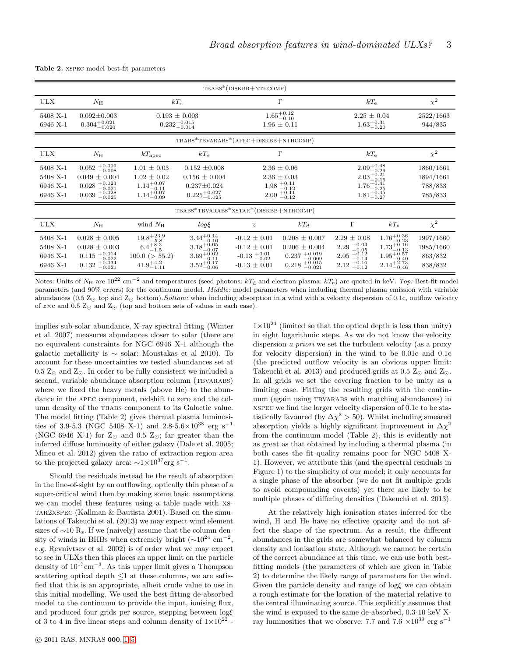|  |  |  |  |  | Table 2. XSPEC model best-fit parameters |
|--|--|--|--|--|------------------------------------------|
|--|--|--|--|--|------------------------------------------|

| TBABS*(DISKBB+NTHCOMP)                       |                                                                                                        |                                                                                                        |                                                                                                               |                                                                                                  |                                                                                                        |                                                                                                                                                             |                                                                                                                |                                              |  |  |
|----------------------------------------------|--------------------------------------------------------------------------------------------------------|--------------------------------------------------------------------------------------------------------|---------------------------------------------------------------------------------------------------------------|--------------------------------------------------------------------------------------------------|--------------------------------------------------------------------------------------------------------|-------------------------------------------------------------------------------------------------------------------------------------------------------------|----------------------------------------------------------------------------------------------------------------|----------------------------------------------|--|--|
| <b>ULX</b>                                   | $N_{\rm H}$                                                                                            | $kT_{\rm d}$                                                                                           |                                                                                                               | $\Gamma$                                                                                         |                                                                                                        | $kT_{\rm e}$                                                                                                                                                |                                                                                                                | $\chi^2$                                     |  |  |
| 5408 X-1<br>6946 X-1                         | $0.092 \pm 0.003$<br>$0.304_{-0.020}^{+0.021}$                                                         | $0.193 \pm 0.003$<br>$0.232^{+0.015}_{-0.014}$                                                         |                                                                                                               | $1.65^{+0.12}_{-0.10}$<br>$1.96 \pm 0.11$                                                        |                                                                                                        | $2.25 \pm 0.04$<br>$1.63^{+0.31}_{-0.20}$                                                                                                                   |                                                                                                                | 2522/1663<br>944/835                         |  |  |
| TBABS*TBVARABS*(APEC+DISKBB+NTHCOMP)         |                                                                                                        |                                                                                                        |                                                                                                               |                                                                                                  |                                                                                                        |                                                                                                                                                             |                                                                                                                |                                              |  |  |
| <b>ULX</b>                                   | $N_{\rm H}$                                                                                            | $kT_{\text{apec}}$                                                                                     | $kT_{\rm d}$                                                                                                  | $\Gamma$                                                                                         |                                                                                                        | $kT_{\rm e}$                                                                                                                                                |                                                                                                                | $\chi^2$                                     |  |  |
| 5408 X-1<br>5408 X-1<br>6946 X-1<br>6946 X-1 | $0.052$ $^{+0.009}_{-0.008}$<br>$0.049 \pm 0.004$<br>$0.028 + 0.023$<br>$0.039 + 0.028$<br>$-0.025$    | $1.01 \pm 0.03$<br>$1.02 \pm 0.02$<br>$\substack{1.14^{+0.07}_{-0.11} \\ 1.14^{+0.07}_{-0.09}}$        | $0.152 \pm 0.008$<br>$0.156 \pm 0.004$<br>$0.237 \pm 0.024$<br>$0.225_{-0.025}^{+0.027}$                      | $2.36 \pm 0.06$<br>$2.36 \pm 0.03$<br>$1.98 + 0.11$ <sub>-0.12</sub><br>$2.00 + 0.11$<br>$-0.12$ |                                                                                                        | $2.09^{+0.48}_{-0.29}$<br>$2.03_{-0.16}^{+0.21}$<br>$1.76^{+0.41}_{-0.25}$<br>$1.81_{-0.27}^{+0.45}$                                                        |                                                                                                                | 1860/1661<br>1894/1661<br>788/833<br>785/833 |  |  |
| TBABS*TBVARABS*XSTAR*(DISKBB+NTHCOMP)        |                                                                                                        |                                                                                                        |                                                                                                               |                                                                                                  |                                                                                                        |                                                                                                                                                             |                                                                                                                |                                              |  |  |
| <b>ULX</b>                                   | $N_{\rm H}$                                                                                            | wind $N_{\rm H}$                                                                                       | $log\xi$                                                                                                      | $\boldsymbol{z}$                                                                                 | $kT_d$                                                                                                 | $\Gamma$                                                                                                                                                    | $kT_e$                                                                                                         | $\chi^2$                                     |  |  |
| 5408 X-1<br>5408 X-1<br>6946 X-1<br>6946 X-1 | $0.028 \pm 0.005$<br>$0.028 \pm 0.003$<br>$0.115$ $^{+0.014}_{-0.022}$<br>$0.132$ $^{+0.034}_{-0.021}$ | $\substack{19.8^{+23.9}_{-5.8} \\ 6.4^{+8.3}_{-1.5}}$<br>$100.0$ ( $> 55.2$ )<br>$41.9^{+4.2}_{-1.11}$ | $\substack{3.44^{+0.14}_{-0.10} \\ 3.18^{+0.05}_{-0.07}}$<br>$3.69^{+0.02}_{-0.11}$<br>$3.52^{+0.17}_{-0.06}$ | $-0.12 \pm 0.01$<br>$-0.12 \pm 0.01$<br>$-0.13$ $^{+0.01}_{-0.02}$<br>$-0.13 \pm 0.01$           | $0.208 \pm 0.007$<br>$0.206 \pm 0.004$<br>$0.237$ $^{+0.019}_{-0.009}$<br>$0.218$ $^{+0.015}_{-0.021}$ | $2.29 \pm 0.08$<br>$2.29_{ -0.05}^{ +0.04}$<br>$2.05\text{ }^{+\tilde{0}.\tilde{1}\tilde{2}}_{-0.14}$<br>$2.12 \begin{array}{c} +0.16 \\ -0.12 \end{array}$ | $\substack{1.76_{-0.23}^{+0.36} \\ 1.73_{-0.13}^{+0.16} }$<br>$1.95_{-0.40}^{+0.57}$<br>$2.14_{-0.46}^{+2.73}$ | 1997/1660<br>1985/1660<br>863/832<br>838/832 |  |  |

Notes: Units of  $N_H$  are  $10^{22}$  cm<sup>-2</sup> and temperatures (seed photons:  $kT_d$  and electron plasma:  $kT_e$ ) are quoted in keV. *Top:* Best-fit model parameters (and 90% errors) for the continuum model. *Middle:* model parameters when including thermal plasma emission with variable abundances (0.5 Z⊙ top and Z⊙ bottom).*Bottom:* when including absorption in a wind with a velocity dispersion of 0.1c, outflow velocity of  $z \times c$  and  $0.5$   $\mathbb{Z}_{\odot}$  and  $\mathbb{Z}_{\odot}$  (top and bottom sets of values in each case).

implies sub-solar abundance, X-ray spectral fitting (Winter et al. 2007) measures abundances closer to solar (there are no equivalent constraints for NGC 6946 X-1 although the galactic metallicity is  $\sim$  solar: Moustakas et al 2010). To account for these uncertainties we tested abundances set at 0.5  $Z_{\odot}$  and  $Z_{\odot}$ . In order to be fully consistent we included a second, variable abundance absorption column (TBVARABS) where we fixed the heavy metals (above He) to the abundance in the apec component, redshift to zero and the column density of the TBABS component to its Galactic value. The model fitting (Table 2) gives thermal plasma luminosities of 3.9-5.3 (NGC 5408 X-1) and 2.8-5.6×10<sup>38</sup> erg s<sup>-1</sup> (NGC 6946 X-1) for  $Z_{\odot}$  and 0.5  $Z_{\odot}$ ; far greater than the inferred diffuse luminosity of either galaxy (Dale et al. 2005; Mineo et al. 2012) given the ratio of extraction region area to the projected galaxy area:  $\sim$ 1×10<sup>37</sup>erg s<sup>-1</sup>.

Should the residuals instead be the result of absorption in the line-of-sight by an outflowing, optically thin phase of a super-critical wind then by making some basic assumptions we can model these features using a table made with xstar2xspec (Kallman & Bautista 2001). Based on the simulations of Takeuchi et al. (2013) we may expect wind element sizes of  $\sim$ 10 R<sub>s</sub>. If we (naively) assume that the column density of winds in BHBs when extremely bright  $({\sim}10^{24} \text{ cm}^{-2},$ e.g. Revnivtsev et al. 2002) is of order what we may expect to see in ULXs then this places an upper limit on the particle density of  $10^{17}$ cm<sup>-3</sup>. As this upper limit gives a Thompson scattering optical depth  $\leq 1$  at these columns, we are satisfied that this is an appropriate, albeit crude value to use in this initial modelling. We used the best-fitting de-absorbed model to the continuum to provide the input, ionising flux, and produced four grids per source, stepping between logξ of 3 to 4 in five linear steps and column density of  $1 \times 10^{22}$  -

c 2011 RAS, MNRAS 000, [1–](#page-0-0)[5](#page-4-0)

 $1\times10^{24}$  (limited so that the optical depth is less than unity) in eight logarithmic steps. As we do not know the velocity dispersion a priori we set the turbulent velocity (as a proxy for velocity dispersion) in the wind to be 0.01c and 0.1c (the predicted outflow velocity is an obvious upper limit: Takeuchi et al. 2013) and produced grids at 0.5  $\text{Z}_{\odot}$  and  $\text{Z}_{\odot}$ . In all grids we set the covering fraction to be unity as a limiting case. Fitting the resulting grids with the continuum (again using tbvarabs with matching abundances) in xspec we find the larger velocity dispersion of 0.1c to be statistically favoured (by  $\Delta \chi^2 > 50$ ). Whilst including smeared absorption yields a highly significant improvement in  $\Delta \chi^2$ from the continuum model (Table 2), this is evidently not as great as that obtained by including a thermal plasma (in both cases the fit quality remains poor for NGC 5408 X-1). However, we attribute this (and the spectral residuals in Figure 1) to the simplicity of our model; it only accounts for a single phase of the absorber (we do not fit multiple grids to avoid compounding caveats) yet there are likely to be multiple phases of differing densities (Takeuchi et al. 2013).

At the relatively high ionisation states inferred for the wind, H and He have no effective opacity and do not affect the shape of the spectrum. As a result, the different abundances in the grids are somewhat balanced by column density and ionisation state. Although we cannot be certain of the correct abundance at this time, we can use both bestfitting models (the parameters of which are given in Table 2) to determine the likely range of parameters for the wind. Given the particle density and range of logξ we can obtain a rough estimate for the location of the material relative to the central illuminating source. This explicitly assumes that the wind is exposed to the same de-absorbed, 0.3-10 keV Xray luminosities that we observe: 7.7 and 7.6  $\times 10^{39}$  erg s<sup>-1</sup>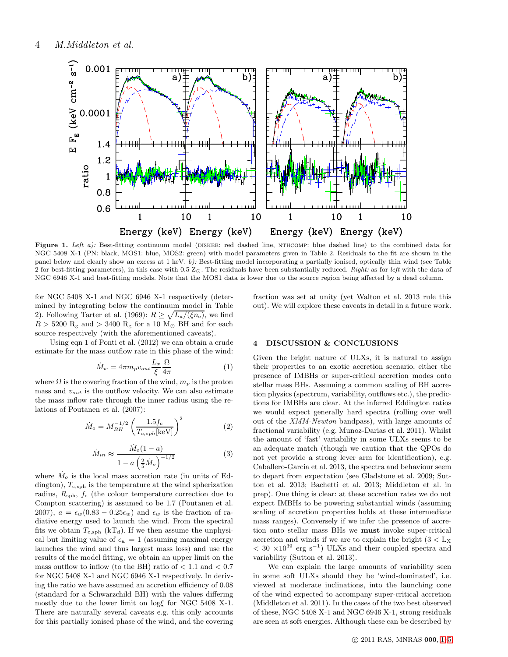

Figure 1. *Left a):* Best-fitting continuum model (DISKBB: red dashed line, NTHCOMP: blue dashed line) to the combined data for NGC 5408 X-1 (PN: black, MOS1: blue, MOS2: green) with model parameters given in Table 2. Residuals to the fit are shown in the panel below and clearly show an excess at 1 keV. *b):* Best-fitting model incorporating a partially ionised, optically thin wind (see Table 2 for best-fitting parameters), in this case with 0.5 Z⊙. The residuals have been substantially reduced. *Right:* as for *left* with the data of NGC 6946 X-1 and best-fitting models. Note that the MOS1 data is lower due to the source region being affected by a dead column.

for NGC 5408 X-1 and NGC 6946 X-1 respectively (determined by integrating below the continuum model in Table 2). Following Tarter et al. (1969):  $R \geq \sqrt{L_x/(\xi n_e)}$ , we find  $R > 5200 \mathrm{R_g}$  and  $> 3400 \mathrm{R_g}$  for a 10  $\mathrm{M_{\odot}}$  BH and for each source respectively (with the aforementioned caveats).

Using eqn 1 of Ponti et al. (2012) we can obtain a crude estimate for the mass outflow rate in this phase of the wind:

$$
\dot{M}_w = 4\pi m_p v_{out} \frac{L_x}{\xi} \frac{\Omega}{4\pi} \tag{1}
$$

where  $\Omega$  is the covering fraction of the wind,  $m_p$  is the proton mass and  $v_{out}$  is the outflow velocity. We can also estimate the mass inflow rate through the inner radius using the relations of Poutanen et al. (2007):

$$
\dot{M}_o = M_{BH}^{-1/2} \left(\frac{1.5f_c}{T_{c,sph}[\text{keV}]}\right)^2 \tag{2}
$$

$$
\dot{M}_{in} \approx \frac{\dot{M}_o(1-a)}{1-a\left(\frac{2}{5}\dot{M}_o\right)^{-1/2}}\tag{3}
$$

where  $\dot{M}_o$  is the local mass accretion rate (in units of Eddington),  $T_{\text{c,sph}}$  is the temperature at the wind spherization radius,  $R_{\rm sph}$ ,  $f_c$  (the colour temperature correction due to Compton scattering) is assumed to be 1.7 (Poutanen et al. 2007),  $a = \epsilon_w(0.83 - 0.25\epsilon_w)$  and  $\epsilon_w$  is the fraction of radiative energy used to launch the wind. From the spectral fits we obtain  $T_{\text{c,sph}}$  (kT<sub>d</sub>). If we then assume the unphysical but limiting value of  $\epsilon_w = 1$  (assuming maximal energy launches the wind and thus largest mass loss) and use the results of the model fitting, we obtain an upper limit on the mass outflow to inflow (to the BH) ratio of  $< 1.1$  and  $< 0.7$ for NGC 5408 X-1 and NGC 6946 X-1 respectively. In deriving the ratio we have assumed an accretion efficiency of 0.08 (standard for a Schwarzchild BH) with the values differing mostly due to the lower limit on logξ for NGC 5408 X-1. There are naturally several caveats e.g. this only accounts for this partially ionised phase of the wind, and the covering fraction was set at unity (yet Walton et al. 2013 rule this out). We will explore these caveats in detail in a future work.

#### 4 DISCUSSION & CONCLUSIONS

Given the bright nature of ULXs, it is natural to assign their properties to an exotic accretion scenario, either the presence of IMBHs or super-critical accretion modes onto stellar mass BHs. Assuming a common scaling of BH accretion physics (spectrum, variability, outflows etc.), the predictions for IMBHs are clear. At the inferred Eddington ratios we would expect generally hard spectra (rolling over well out of the XMM-Newton bandpass), with large amounts of fractional variability (e.g. Munoz-Darias et al. 2011). Whilst the amount of 'fast' variability in some ULXs seems to be an adequate match (though we caution that the QPOs do not yet provide a strong lever arm for identification), e.g. Caballero-Garcia et al. 2013, the spectra and behaviour seem to depart from expectation (see Gladstone et al. 2009; Sutton et al. 2013; Bachetti et al. 2013; Middleton et al. in prep). One thing is clear: at these accretion rates we do not expect IMBHs to be powering substantial winds (assuming scaling of accretion properties holds at these intermediate mass ranges). Conversely if we infer the presence of accretion onto stellar mass BHs we must invoke super-critical accretion and winds if we are to explain the bright  $(3 < L_X)$  $< 30 \times 10^{39}$  erg s<sup>-1</sup>) ULXs and their coupled spectra and variability (Sutton et al. 2013).

We can explain the large amounts of variability seen in some soft ULXs should they be 'wind-dominated', i.e. viewed at moderate inclinations, into the launching cone of the wind expected to accompany super-critical accretion (Middleton et al. 2011). In the cases of the two best observed of these, NGC 5408 X-1 and NGC 6946 X-1, strong residuals are seen at soft energies. Although these can be described by